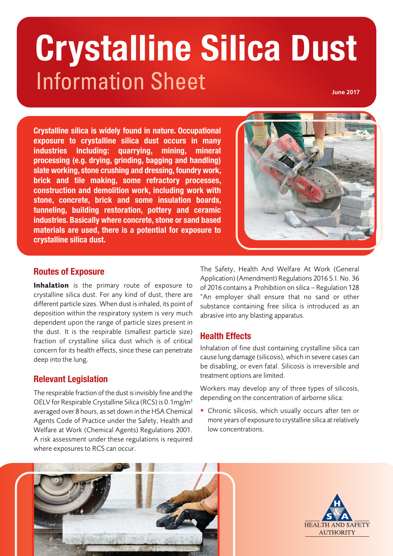# Information Sheet **Crystalline Silica Dust June 2017**

**Crystalline silica is widely found in nature. Occupational exposure to crystalline silica dust occurs in many industries including: quarrying, mining, mineral processing (e.g. drying, grinding, bagging and handling) slate working, stone crushing and dressing, foundry work, brick and tile making, some refractory processes, construction and demolition work, including work with stone, concrete, brick and some insulation boards, tunneling, building restoration, pottery and ceramic industries. Basically where concrete, stone or sand based materials are used, there is a potential for exposure to crystalline silica dust.** 



#### **Routes of Exposure**

Inhalation is the primary route of exposure to crystalline silica dust. For any kind of dust, there are different particle sizes. When dust is inhaled, its point of deposition within the respiratory system is very much dependent upon the range of particle sizes present in the dust. It is the respirable (smallest particle size) fraction of crystalline silica dust which is of critical concern for its health effects, since these can penetrate deep into the lung.

# **Relevant Legislation**

The respirable fraction of the dust is invisibly fine and the OELV for Respirable Crystalline Silica (RCS) is 0.1mg/m3 averaged over 8 hours, as set down in the HSA Chemical Agents Code of Practice under the Safety, Health and Welfare at Work (Chemical Agents) Regulations 2001. A risk assessment under these regulations is required where exposures to RCS can occur.

The Safety, Health And Welfare At Work (General Application) (Amendment) Regulations 2016 S.I. No. 36 of 2016 contains a Prohibition on silica – Regulation 128 "An employer shall ensure that no sand or other substance containing free silica is introduced as an abrasive into any blasting apparatus.

# **Health Effects**

Inhalation of fine dust containing crystalline silica can cause lung damage (silicosis), which in severe cases can be disabling, or even fatal. Silicosis is irreversible and treatment options are limited.

Workers may develop any of three types of silicosis, depending on the concentration of airborne silica:

• Chronic silicosis, which usually occurs after ten or more years of exposure to crystalline silica at relatively low concentrations.